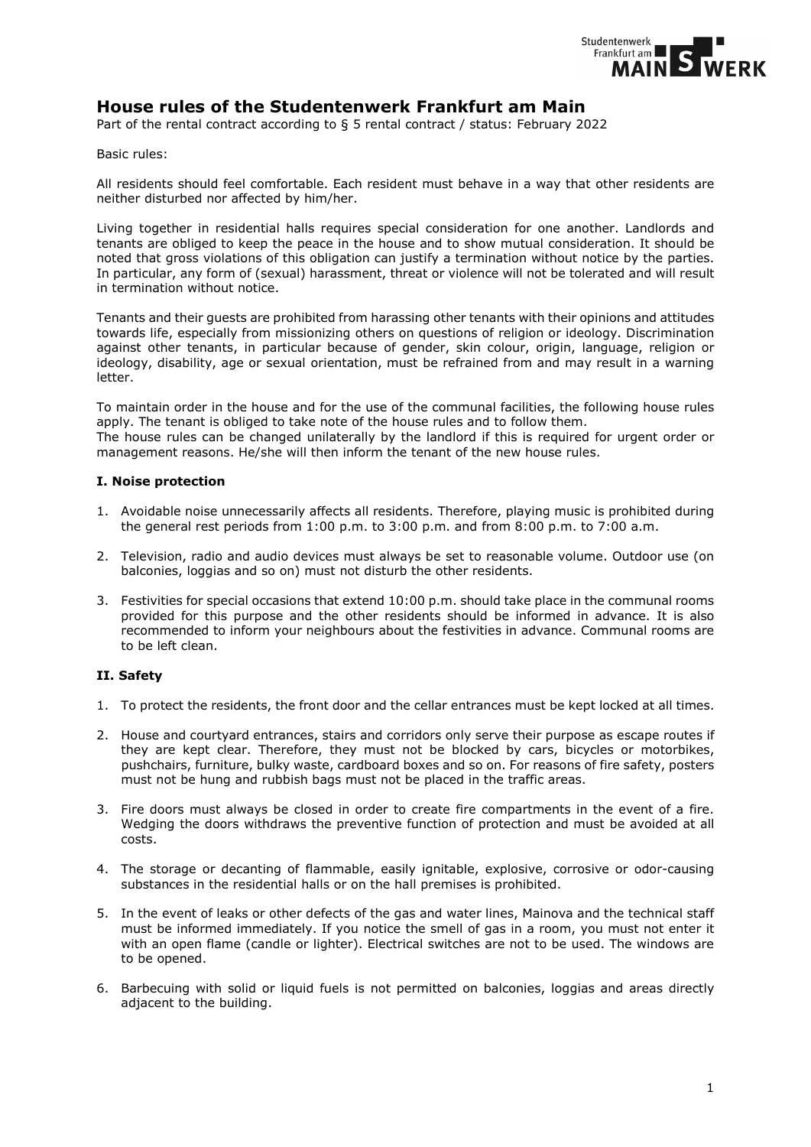

# **House rules of the Studentenwerk Frankfurt am Main**

Part of the rental contract according to § 5 rental contract / status: February 2022

Basic rules:

All residents should feel comfortable. Each resident must behave in a way that other residents are neither disturbed nor affected by him/her.

Living together in residential halls requires special consideration for one another. Landlords and tenants are obliged to keep the peace in the house and to show mutual consideration. It should be noted that gross violations of this obligation can justify a termination without notice by the parties. In particular, any form of (sexual) harassment, threat or violence will not be tolerated and will result in termination without notice.

Tenants and their guests are prohibited from harassing other tenants with their opinions and attitudes towards life, especially from missionizing others on questions of religion or ideology. Discrimination against other tenants, in particular because of gender, skin colour, origin, language, religion or ideology, disability, age or sexual orientation, must be refrained from and may result in a warning letter.

To maintain order in the house and for the use of the communal facilities, the following house rules apply. The tenant is obliged to take note of the house rules and to follow them.

The house rules can be changed unilaterally by the landlord if this is required for urgent order or management reasons. He/she will then inform the tenant of the new house rules.

### **I. Noise protection**

- 1. Avoidable noise unnecessarily affects all residents. Therefore, playing music is prohibited during the general rest periods from 1:00 p.m. to 3:00 p.m. and from 8:00 p.m. to 7:00 a.m.
- 2. Television, radio and audio devices must always be set to reasonable volume. Outdoor use (on balconies, loggias and so on) must not disturb the other residents.
- 3. Festivities for special occasions that extend 10:00 p.m. should take place in the communal rooms provided for this purpose and the other residents should be informed in advance. It is also recommended to inform your neighbours about the festivities in advance. Communal rooms are to be left clean.

# **II. Safety**

- 1. To protect the residents, the front door and the cellar entrances must be kept locked at all times.
- 2. House and courtyard entrances, stairs and corridors only serve their purpose as escape routes if they are kept clear. Therefore, they must not be blocked by cars, bicycles or motorbikes, pushchairs, furniture, bulky waste, cardboard boxes and so on. For reasons of fire safety, posters must not be hung and rubbish bags must not be placed in the traffic areas.
- 3. Fire doors must always be closed in order to create fire compartments in the event of a fire. Wedging the doors withdraws the preventive function of protection and must be avoided at all costs.
- 4. The storage or decanting of flammable, easily ignitable, explosive, corrosive or odor-causing substances in the residential halls or on the hall premises is prohibited.
- 5. In the event of leaks or other defects of the gas and water lines, Mainova and the technical staff must be informed immediately. If you notice the smell of gas in a room, you must not enter it with an open flame (candle or lighter). Electrical switches are not to be used. The windows are to be opened.
- 6. Barbecuing with solid or liquid fuels is not permitted on balconies, loggias and areas directly adjacent to the building.